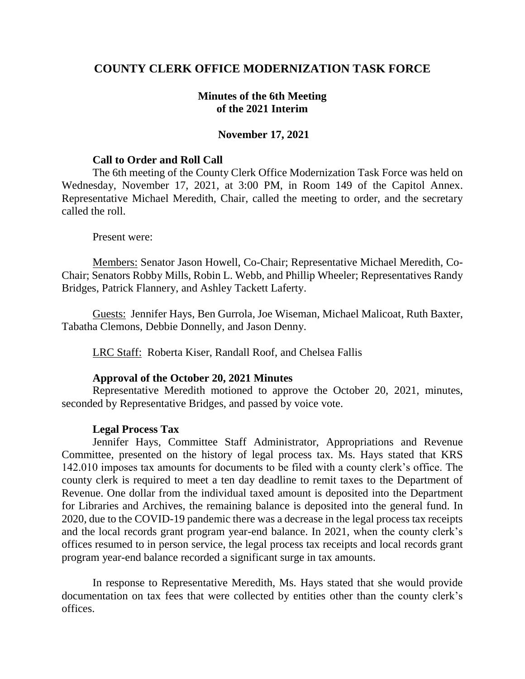# **COUNTY CLERK OFFICE MODERNIZATION TASK FORCE**

## **Minutes of the 6th Meeting of the 2021 Interim**

## **November 17, 2021**

### **Call to Order and Roll Call**

The 6th meeting of the County Clerk Office Modernization Task Force was held on Wednesday, November 17, 2021, at 3:00 PM, in Room 149 of the Capitol Annex. Representative Michael Meredith, Chair, called the meeting to order, and the secretary called the roll.

#### Present were:

Members: Senator Jason Howell, Co-Chair; Representative Michael Meredith, Co-Chair; Senators Robby Mills, Robin L. Webb, and Phillip Wheeler; Representatives Randy Bridges, Patrick Flannery, and Ashley Tackett Laferty.

Guests: Jennifer Hays, Ben Gurrola, Joe Wiseman, Michael Malicoat, Ruth Baxter, Tabatha Clemons, Debbie Donnelly, and Jason Denny.

LRC Staff: Roberta Kiser, Randall Roof, and Chelsea Fallis

## **Approval of the October 20, 2021 Minutes**

Representative Meredith motioned to approve the October 20, 2021, minutes, seconded by Representative Bridges, and passed by voice vote.

## **Legal Process Tax**

Jennifer Hays, Committee Staff Administrator, Appropriations and Revenue Committee, presented on the history of legal process tax. Ms. Hays stated that KRS 142.010 imposes tax amounts for documents to be filed with a county clerk's office. The county clerk is required to meet a ten day deadline to remit taxes to the Department of Revenue. One dollar from the individual taxed amount is deposited into the Department for Libraries and Archives, the remaining balance is deposited into the general fund. In 2020, due to the COVID-19 pandemic there was a decrease in the legal process tax receipts and the local records grant program year-end balance. In 2021, when the county clerk's offices resumed to in person service, the legal process tax receipts and local records grant program year-end balance recorded a significant surge in tax amounts.

In response to Representative Meredith, Ms. Hays stated that she would provide documentation on tax fees that were collected by entities other than the county clerk's offices.